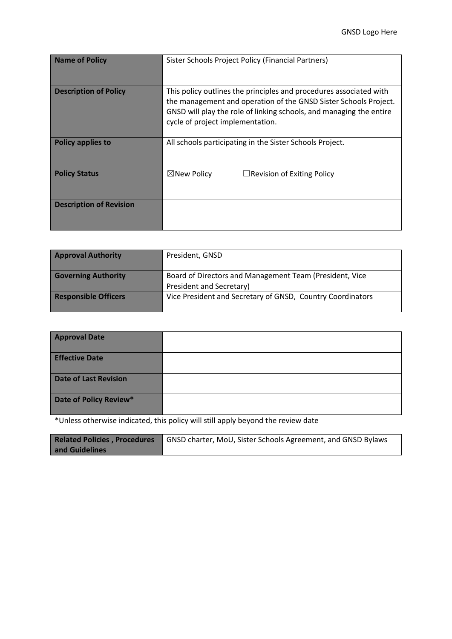| <b>Name of Policy</b>          | Sister Schools Project Policy (Financial Partners)                                                                                                                                                                                                |  |
|--------------------------------|---------------------------------------------------------------------------------------------------------------------------------------------------------------------------------------------------------------------------------------------------|--|
| <b>Description of Policy</b>   | This policy outlines the principles and procedures associated with<br>the management and operation of the GNSD Sister Schools Project.<br>GNSD will play the role of linking schools, and managing the entire<br>cycle of project implementation. |  |
| <b>Policy applies to</b>       | All schools participating in the Sister Schools Project.                                                                                                                                                                                          |  |
| <b>Policy Status</b>           | $\boxtimes$ New Policy<br>$\Box$ Revision of Exiting Policy                                                                                                                                                                                       |  |
| <b>Description of Revision</b> |                                                                                                                                                                                                                                                   |  |

| <b>Approval Authority</b>   | President, GNSD                                                                     |
|-----------------------------|-------------------------------------------------------------------------------------|
| <b>Governing Authority</b>  | Board of Directors and Management Team (President, Vice<br>President and Secretary) |
| <b>Responsible Officers</b> | Vice President and Secretary of GNSD, Country Coordinators                          |

| <b>Approval Date</b>   |  |
|------------------------|--|
| <b>Effective Date</b>  |  |
| Date of Last Revision  |  |
| Date of Policy Review* |  |

\*Unless otherwise indicated, this policy will still apply beyond the review date

|                | <b>Related Policies, Procedures</b> GNSD charter, MoU, Sister Schools Agreement, and GNSD Bylaws |  |  |
|----------------|--------------------------------------------------------------------------------------------------|--|--|
| and Guidelines |                                                                                                  |  |  |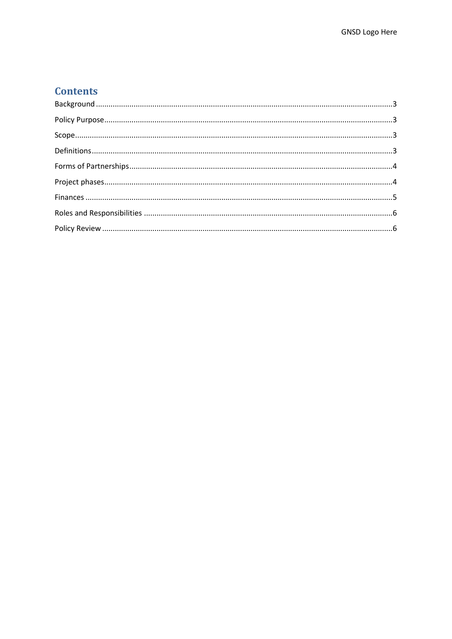# **Contents**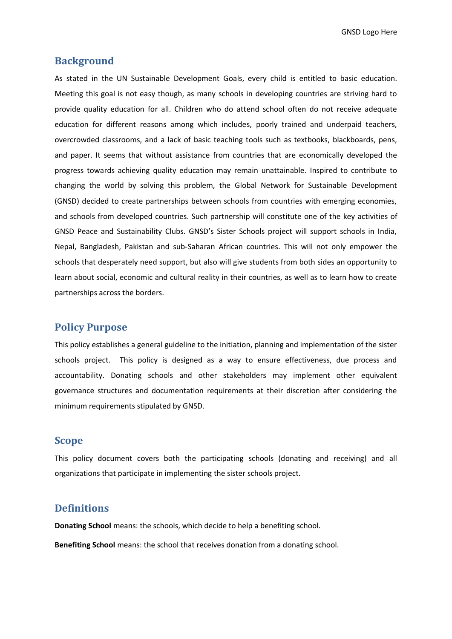GNSD Logo Here

### <span id="page-2-0"></span>**Background**

As stated in the UN Sustainable Development Goals, every child is entitled to basic education. Meeting this goal is not easy though, as many schools in developing countries are striving hard to provide quality education for all. Children who do attend school often do not receive adequate education for different reasons among which includes, poorly trained and underpaid teachers, overcrowded classrooms, and a lack of basic teaching tools such as textbooks, blackboards, pens, and paper. It seems that without assistance from countries that are economically developed the progress towards achieving quality education may remain unattainable. Inspired to contribute to changing the world by solving this problem, the Global Network for Sustainable Development (GNSD) decided to create partnerships between schools from countries with emerging economies, and schools from developed countries. Such partnership will constitute one of the key activities of GNSD Peace and Sustainability Clubs. GNSD's Sister Schools project will support schools in India, Nepal, Bangladesh, Pakistan and sub-Saharan African countries. This will not only empower the schools that desperately need support, but also will give students from both sides an opportunity to learn about social, economic and cultural reality in their countries, as well as to learn how to create partnerships across the borders.

# <span id="page-2-1"></span>**Policy Purpose**

This policy establishes a general guideline to the initiation, planning and implementation of the sister schools project. This policy is designed as a way to ensure effectiveness, due process and accountability. Donating schools and other stakeholders may implement other equivalent governance structures and documentation requirements at their discretion after considering the minimum requirements stipulated by GNSD.

### <span id="page-2-2"></span>**Scope**

This policy document covers both the participating schools (donating and receiving) and all organizations that participate in implementing the sister schools project.

### <span id="page-2-3"></span>**Definitions**

**Donating School** means: the schools, which decide to help a benefiting school.

**Benefiting School** means: the school that receives donation from a donating school.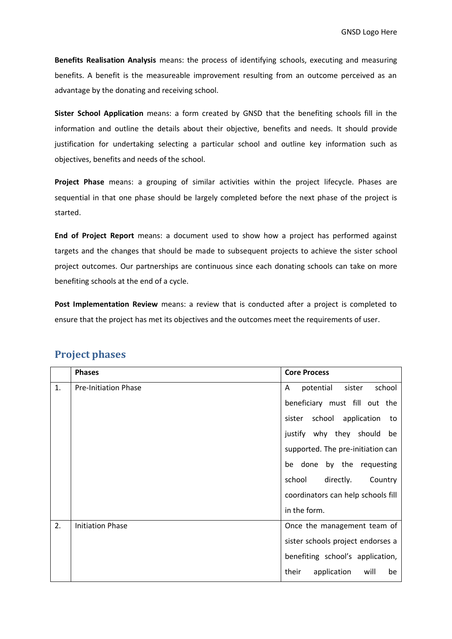**Benefits Realisation Analysis** means: the process of identifying schools, executing and measuring benefits. A benefit is the measureable improvement resulting from an outcome perceived as an advantage by the donating and receiving school.

**Sister School Application** means: a form created by GNSD that the benefiting schools fill in the information and outline the details about their objective, benefits and needs. It should provide justification for undertaking selecting a particular school and outline key information such as objectives, benefits and needs of the school.

**Project Phase** means: a grouping of similar activities within the project lifecycle. Phases are sequential in that one phase should be largely completed before the next phase of the project is started.

**End of Project Report** means: a document used to show how a project has performed against targets and the changes that should be made to subsequent projects to achieve the sister school project outcomes. Our partnerships are continuous since each donating schools can take on more benefiting schools at the end of a cycle.

**Post Implementation Review** means: a review that is conducted after a project is completed to ensure that the project has met its objectives and the outcomes meet the requirements of user.

|    | <b>Phases</b>               | <b>Core Process</b>                |
|----|-----------------------------|------------------------------------|
| 1. | <b>Pre-Initiation Phase</b> | potential<br>school<br>A<br>sister |
|    |                             | beneficiary must fill out the      |
|    |                             | sister school application<br>to    |
|    |                             | justify why they should<br>be      |
|    |                             | supported. The pre-initiation can  |
|    |                             | be done by the requesting          |
|    |                             | school<br>directly.<br>Country     |
|    |                             | coordinators can help schools fill |
|    |                             | in the form.                       |
| 2. | <b>Initiation Phase</b>     | Once the management team of        |
|    |                             | sister schools project endorses a  |
|    |                             | benefiting school's application,   |
|    |                             | application<br>their<br>will<br>be |

# <span id="page-3-0"></span>**Project phases**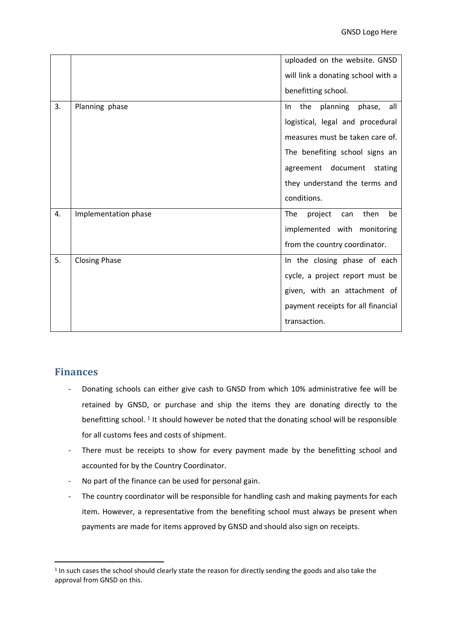|    |                      | uploaded on the website. GNSD       |
|----|----------------------|-------------------------------------|
|    |                      | will link a donating school with a  |
|    |                      |                                     |
|    |                      | benefitting school.                 |
| 3. | Planning phase       | the<br>planning phase, all<br>In.   |
|    |                      | logistical, legal and procedural    |
|    |                      | measures must be taken care of.     |
|    |                      | The benefiting school signs an      |
|    |                      | agreement document stating          |
|    |                      | they understand the terms and       |
|    |                      | conditions.                         |
| 4. | Implementation phase | The<br>project<br>then<br>be<br>can |
|    |                      | implemented with monitoring         |
|    |                      | from the country coordinator.       |
| 5. | <b>Closing Phase</b> | In the closing phase of each        |
|    |                      | cycle, a project report must be     |
|    |                      | given, with an attachment of        |
|    |                      | payment receipts for all financial  |
|    |                      | transaction.                        |

# <span id="page-4-0"></span>**Finances**

- Donating schools can either give cash to GNSD from which 10% administrative fee will be retained by GNSD, or purchase and ship the items they are donating directly to the benefitting school.<sup>1</sup> It should however be noted that the donating school will be responsible for all customs fees and costs of shipment.
- There must be receipts to show for every payment made by the benefitting school and accounted for by the Country Coordinator.
- No part of the finance can be used for personal gain.
- The country coordinator will be responsible for handling cash and making payments for each item. However, a representative from the benefiting school must always be present when payments are made for items approved by GNSD and should also sign on receipts.

<sup>&</sup>lt;sup>1</sup> In such cases the school should clearly state the reason for directly sending the goods and also take the approval from GNSD on this.